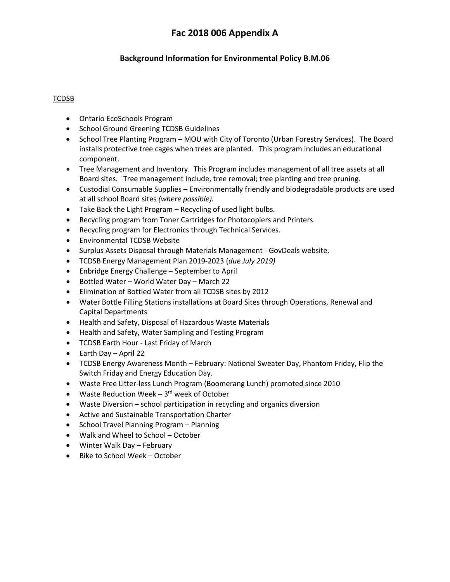# **Fac 2018 006 Appendix A**

# **Background Information for Environmental Policy B.M.06**

#### TCDSB

- Ontario EcoSchools Program
- School Ground Greening TCDSB Guidelines
- School Tree Planting Program MOU with City of Toronto (Urban Forestry Services). The Board installs protective tree cages when trees are planted. This program includes an educational component.
- Tree Management and Inventory. This Program includes management of all tree assets at all Board sites. Tree management include, tree removal; tree planting and tree pruning.
- Custodial Consumable Supplies Environmentally friendly and biodegradable products are used at all school Board sites *(where possible).*
- Take Back the Light Program Recycling of used light bulbs.
- Recycling program from Toner Cartridges for Photocopiers and Printers.
- Recycling program for Electronics through Technical Services.
- Environmental TCDSB Website
- Surplus Assets Disposal through Materials Management GovDeals website.
- TCDSB Energy Management Plan 2019-2023 (*due July 2019)*
- Enbridge Energy Challenge September to April
- Bottled Water World Water Day March 22
- Elimination of Bottled Water from all TCDSB sites by 2012
- Water Bottle Filling Stations installations at Board Sites through Operations, Renewal and Capital Departments
- Health and Safety, Disposal of Hazardous Waste Materials
- Health and Safety, Water Sampling and Testing Program
- TCDSB Earth Hour Last Friday of March
- Earth Day April 22
- TCDSB Energy Awareness Month February: National Sweater Day, Phantom Friday, Flip the Switch Friday and Energy Education Day.
- Waste Free Litter-less Lunch Program (Boomerang Lunch) promoted since 2010
- Waste Reduction Week  $-3^{rd}$  week of October
- Waste Diversion school participation in recycling and organics diversion
- Active and Sustainable Transportation Charter
- School Travel Planning Program Planning
- Walk and Wheel to School October
- Winter Walk Day February
- Bike to School Week October